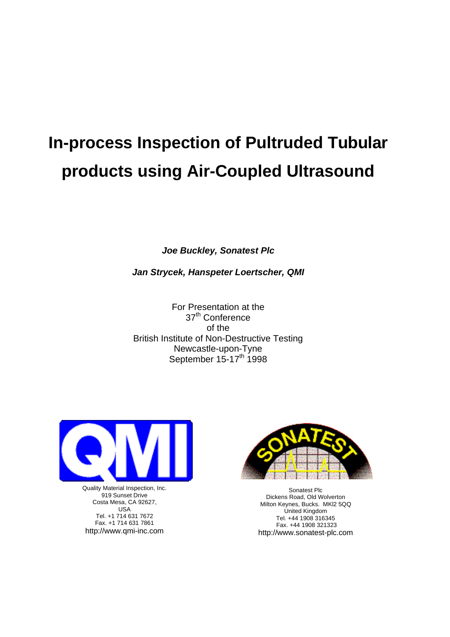# **In-process Inspection of Pultruded Tubular products using Air-Coupled Ultrasound**

*Joe Buckley, Sonatest Plc*

*Jan Strycek, Hanspeter Loertscher, QMI*

For Presentation at the 37<sup>th</sup> Conference of the British Institute of Non-Destructive Testing Newcastle-upon-Tyne September  $15-17^{\text{th}}$  1998



Quality Material Inspection, Inc. 919 Sunset Drive Costa Mesa, CA 92627, USA Tel. +1 714 631 7672 Fax. +1 714 631 7861 http://www.qmi-inc.com



Sonatest Plc Dickens Road, Old Wolverton Milton Keynes, Bucks. MKl2 5QQ United Kingdom Tel. +44 1908 316345 Fax. +44 1908 321323 http://www.sonatest-plc.com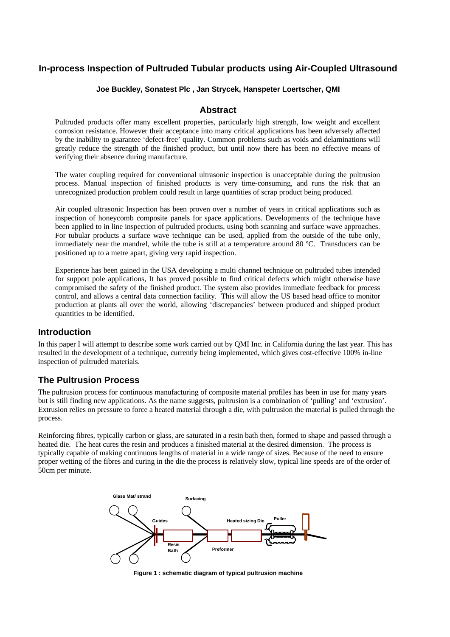# **In-process Inspection of Pultruded Tubular products using Air-Coupled Ultrasound**

#### **Joe Buckley, Sonatest Plc , Jan Strycek, Hanspeter Loertscher, QMI**

#### **Abstract**

Pultruded products offer many excellent properties, particularly high strength, low weight and excellent corrosion resistance. However their acceptance into many critical applications has been adversely affected by the inability to guarantee 'defect-free' quality. Common problems such as voids and delaminations will greatly reduce the strength of the finished product, but until now there has been no effective means of verifying their absence during manufacture.

The water coupling required for conventional ultrasonic inspection is unacceptable during the pultrusion process. Manual inspection of finished products is very time-consuming, and runs the risk that an unrecognized production problem could result in large quantities of scrap product being produced.

Air coupled ultrasonic Inspection has been proven over a number of years in critical applications such as inspection of honeycomb composite panels for space applications. Developments of the technique have been applied to in line inspection of pultruded products, using both scanning and surface wave approaches. For tubular products a surface wave technique can be used, applied from the outside of the tube only, immediately near the mandrel, while the tube is still at a temperature around 80 ºC. Transducers can be positioned up to a metre apart, giving very rapid inspection.

Experience has been gained in the USA developing a multi channel technique on pultruded tubes intended for support pole applications, It has proved possible to find critical defects which might otherwise have compromised the safety of the finished product. The system also provides immediate feedback for process control, and allows a central data connection facility. This will allow the US based head office to monitor production at plants all over the world, allowing 'discrepancies' between produced and shipped product quantities to be identified.

#### **Introduction**

In this paper I will attempt to describe some work carried out by QMI Inc. in California during the last year. This has resulted in the development of a technique, currently being implemented, which gives cost-effective 100% in-line inspection of pultruded materials.

## **The Pultrusion Process**

The pultrusion process for continuous manufacturing of composite material profiles has been in use for many years but is still finding new applications. As the name suggests, pultrusion is a combination of 'pulling' and 'extrusion'. Extrusion relies on pressure to force a heated material through a die, with pultrusion the material is pulled through the process.

Reinforcing fibres, typically carbon or glass, are saturated in a resin bath then, formed to shape and passed through a heated die. The heat cures the resin and produces a finished material at the desired dimension. The process is typically capable of making continuous lengths of material in a wide range of sizes. Because of the need to ensure proper wetting of the fibres and curing in the die the process is relatively slow, typical line speeds are of the order of 50cm per minute.



**Figure 1 : schematic diagram of typical pultrusion machine**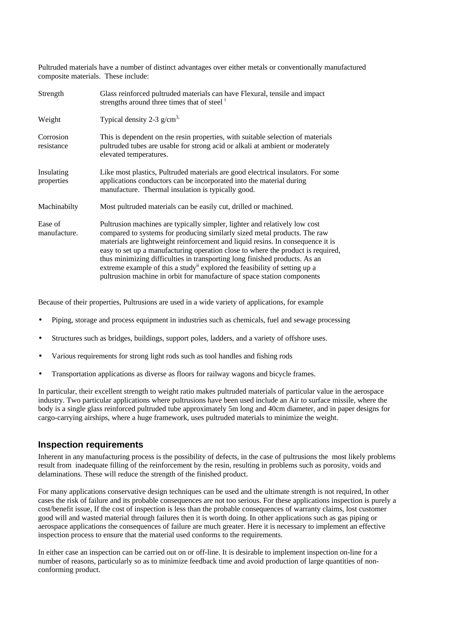Pultruded materials have a number of distinct advantages over either metals or conventionally manufactured composite materials. These include:

| Strength                 | Glass reinforced pultruded materials can have Flexural, tensile and impact<br>strengths around three times that of steel <sup>1</sup>                                                                                                                                                                                                                                                                                                                                                                                                                               |
|--------------------------|---------------------------------------------------------------------------------------------------------------------------------------------------------------------------------------------------------------------------------------------------------------------------------------------------------------------------------------------------------------------------------------------------------------------------------------------------------------------------------------------------------------------------------------------------------------------|
| Weight                   | Typical density 2-3 $g/cm3$ ,                                                                                                                                                                                                                                                                                                                                                                                                                                                                                                                                       |
| Corrosion<br>resistance  | This is dependent on the resin properties, with suitable selection of materials<br>pultruded tubes are usable for strong acid or alkali at ambient or moderately<br>elevated temperatures.                                                                                                                                                                                                                                                                                                                                                                          |
| Insulating<br>properties | Like most plastics, Pultruded materials are good electrical insulators. For some<br>applications conductors can be incorporated into the material during<br>manufacture. Thermal insulation is typically good.                                                                                                                                                                                                                                                                                                                                                      |
| Machinabilty             | Most pultruded materials can be easily cut, drilled or machined.                                                                                                                                                                                                                                                                                                                                                                                                                                                                                                    |
| Ease of<br>manufacture.  | Pultrusion machines are typically simpler, lighter and relatively low cost<br>compared to systems for producing similarly sized metal products. The raw<br>materials are lightweight reinforcement and liquid resins. In consequence it is<br>easy to set up a manufacturing operation close to where the product is required,<br>thus minimizing difficulties in transporting long finished products. As an<br>extreme example of this a study explored the feasibility of setting up a<br>pultrusion machine in orbit for manufacture of space station components |

Because of their properties, Pultrusions are used in a wide variety of applications, for example

- Piping, storage and process equipment in industries such as chemicals, fuel and sewage processing
- Structures such as bridges, buildings, support poles, ladders, and a variety of offshore uses.
- Various requirements for strong light rods such as tool handles and fishing rods
- Transportation applications as diverse as floors for railway wagons and bicycle frames.

In particular, their excellent strength to weight ratio makes pultruded materials of particular value in the aerospace industry. Two particular applications where pultrusions have been used include an Air to surface missile, where the body is a single glass reinforced pultruded tube approximately 5m long and 40cm diameter, and in paper designs for cargo-carrying airships, where a huge framework, uses pultruded materials to minimize the weight.

#### **Inspection requirements**

Inherent in any manufacturing process is the possibility of defects, in the case of pultrusions the most likely problems result from inadequate filling of the reinforcement by the resin, resulting in problems such as porosity, voids and delaminations. These will reduce the strength of the finished product.

For many applications conservative design techniques can be used and the ultimate strength is not required, In other cases the risk of failure and its probable consequences are not too serious. For these applications inspection is purely a cost/benefit issue, If the cost of inspection is less than the probable consequences of warranty claims, lost customer good will and wasted material through failures then it is worth doing. In other applications such as gas piping or aerospace applications the consequences of failure are much greater. Here it is necessary to implement an effective inspection process to ensure that the material used conforms to the requirements.

In either case an inspection can be carried out on or off-line. It is desirable to implement inspection on-line for a number of reasons, particularly so as to minimize feedback time and avoid production of large quantities of nonconforming product.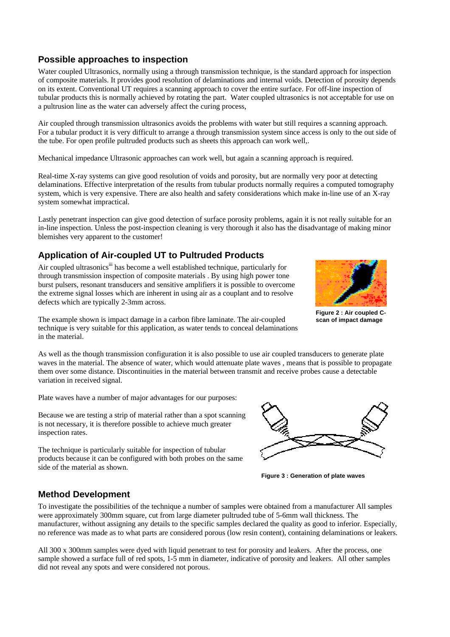# **Possible approaches to inspection**

Water coupled Ultrasonics, normally using a through transmission technique, is the standard approach for inspection of composite materials. It provides good resolution of delaminations and internal voids. Detection of porosity depends on its extent. Conventional UT requires a scanning approach to cover the entire surface. For off-line inspection of tubular products this is normally achieved by rotating the part. Water coupled ultrasonics is not acceptable for use on a pultrusion line as the water can adversely affect the curing process,

Air coupled through transmission ultrasonics avoids the problems with water but still requires a scanning approach. For a tubular product it is very difficult to arrange a through transmission system since access is only to the out side of the tube. For open profile pultruded products such as sheets this approach can work well,.

Mechanical impedance Ultrasonic approaches can work well, but again a scanning approach is required.

Real-time X-ray systems can give good resolution of voids and porosity, but are normally very poor at detecting delaminations. Effective interpretation of the results from tubular products normally requires a computed tomography system, which is very expensive. There are also health and safety considerations which make in-line use of an X-ray system somewhat impractical.

Lastly penetrant inspection can give good detection of surface porosity problems, again it is not really suitable for an in-line inspection. Unless the post-inspection cleaning is very thorough it also has the disadvantage of making minor blemishes very apparent to the customer!

## **Application of Air-coupled UT to Pultruded Products**

Air coupled ultrasonics<sup>iii</sup> has become a well established technique, particularly for through transmission inspection of composite materials . By using high power tone burst pulsers, resonant transducers and sensitive amplifiers it is possible to overcome the extreme signal losses which are inherent in using air as a couplant and to resolve defects which are typically 2-3mm across.



**Figure 2 : Air coupled Cscan of impact damage**

The example shown is impact damage in a carbon fibre laminate. The air-coupled technique is very suitable for this application, as water tends to conceal delaminations in the material.

As well as the though transmission configuration it is also possible to use air coupled transducers to generate plate waves in the material. The absence of water, which would attenuate plate waves , means that is possible to propagate them over some distance. Discontinuities in the material between transmit and receive probes cause a detectable variation in received signal.

Plate waves have a number of major advantages for our purposes:

Because we are testing a strip of material rather than a spot scanning is not necessary, it is therefore possible to achieve much greater inspection rates.

The technique is particularly suitable for inspection of tubular products because it can be configured with both probes on the same side of the material as shown.



**Figure 3 : Generation of plate waves**

# **Method Development**

To investigate the possibilities of the technique a number of samples were obtained from a manufacturer All samples were approximately 300mm square, cut from large diameter pultruded tube of 5-6mm wall thickness. The manufacturer, without assigning any details to the specific samples declared the quality as good to inferior. Especially, no reference was made as to what parts are considered porous (low resin content), containing delaminations or leakers.

All 300 x 300mm samples were dyed with liquid penetrant to test for porosity and leakers. After the process, one sample showed a surface full of red spots, 1-5 mm in diameter, indicative of porosity and leakers. All other samples did not reveal any spots and were considered not porous.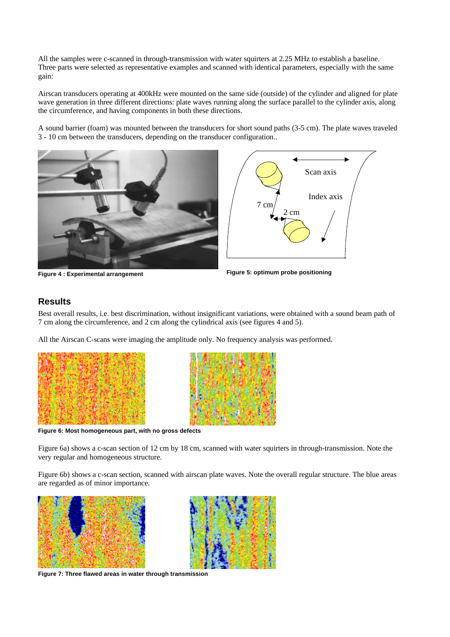All the samples were c-scanned in through-transmission with water squirters at 2.25 MHz to establish a baseline. Three parts were selected as representative examples and scanned with identical parameters, especially with the same gain:

Airscan transducers operating at 400kHz were mounted on the same side (outside) of the cylinder and aligned for plate wave generation in three different directions: plate waves running along the surface parallel to the cylinder axis, along the circumference, and having components in both these directions.

A sound barrier (foam) was mounted between the transducers for short sound paths (3-5 cm). The plate waves traveled 3 - 10 cm between the transducers, depending on the transducer configuration..



**Figure 4 : Experimental arrangement**



**Figure 5: optimum probe positioning**

# **Results**

Best overall results, i.e. best discrimination, without insignificant variations, were obtained with a sound beam path of 7 cm along the circumference, and 2 cm along the cylindrical axis (see figures 4 and 5).

All the Airscan C-scans were imaging the amplitude only. No frequency analysis was performed.





**Figure 6: Most homogeneous part, with no gross defects**

Figure 6a) shows a c-scan section of 12 cm by 18 cm, scanned with water squirters in through-transmission. Note the very regular and homogeneous structure.

Figure 6b) shows a c-scan section, scanned with airscan plate waves. Note the overall regular structure. The blue areas are regarded as of minor importance.





**Figure 7: Three flawed areas in water through transmission**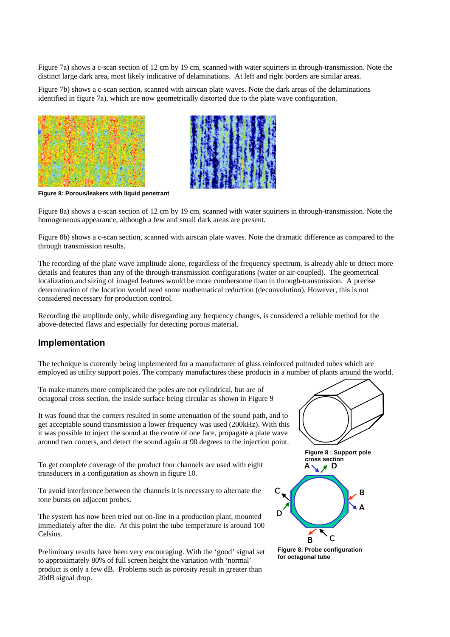Figure 7a) shows a c-scan section of 12 cm by 19 cm, scanned with water squirters in through-transmission. Note the distinct large dark area, most likely indicative of delaminations. At left and right borders are similar areas.

Figure 7b) shows a c-scan section, scanned with airscan plate waves. Note the dark areas of the delaminations identified in figure 7a), which are now geometrically distorted due to the plate wave configuration.





**Figure 8: Porous/leakers with liquid penetrant**

Figure 8a) shows a c-scan section of 12 cm by 19 cm, scanned with water squirters in through-transmission. Note the homogeneous appearance, although a few and small dark areas are present.

Figure 8b) shows a c-scan section, scanned with airscan plate waves. Note the dramatic difference as compared to the through transmission results.

The recording of the plate wave amplitude alone, regardless of the frequency spectrum, is already able to detect more details and features than any of the through-transmission configurations (water or air-coupled). The geometrical localization and sizing of imaged features would be more cumbersome than in through-transmission. A precise determination of the location would need some mathematical reduction (deconvolution). However, this is not considered necessary for production control.

Recording the amplitude only, while disregarding any frequency changes, is considered a reliable method for the above-detected flaws and especially for detecting porous material.

### **Implementation**

The technique is currently being implemented for a manufacturer of glass reinforced pultruded tubes which are employed as utility support poles. The company manufactures these products in a number of plants around the world.

To make matters more complicated the poles are not cylindrical, but are of octagonal cross section, the inside surface being circular as shown in Figure 9

It was found that the corners resulted in some attenuation of the sound path, and to get acceptable sound transmission a lower frequency was used (200kHz). With this it was possible to inject the sound at the centre of one face, propagate a plate wave around two corners, and detect the sound again at 90 degrees to the injection point.

To get complete coverage of the product four channels are used with eight transducers in a configuration as shown in figure 10.

To avoid interference between the channels it is necessary to alternate the tone bursts on adjacent probes.

The system has now been tried out on-line in a production plant, mounted immediately after the die. At this point the tube temperature is around 100 Celsius.

Preliminary results have been very encouraging. With the 'good' signal set to approximately 80% of full screen height the variation with 'normal' product is only a few dB. Problems such as porosity result in greater than 20dB signal drop.





 $\mathbf c$ 

D

**Figure 8: Probe configuration for octagonal tube**